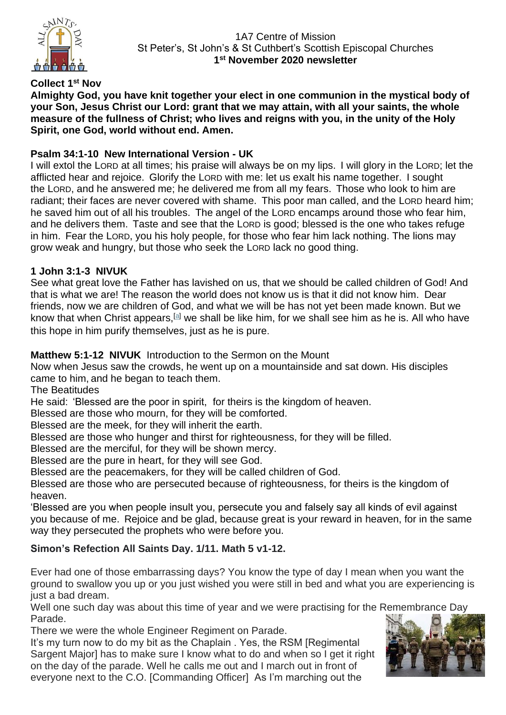

# **Collect 1 st Nov**

**Almighty God, you have knit together your elect in one communion in the mystical body of your Son, Jesus Christ our Lord: grant that we may attain, with all your saints, the whole measure of the fullness of Christ; who lives and reigns with you, in the unity of the Holy Spirit, one God, world without end. Amen.** 

## **Psalm 34:1-10 New International Version - UK**

I will extol the LORD at all times; his praise will always be on my lips. I will glory in the LORD; let the afflicted hear and rejoice. Glorify the LORD with me: let us exalt his name together. I sought the LORD, and he answered me; he delivered me from all my fears. Those who look to him are radiant; their faces are never covered with shame. This poor man called, and the LORD heard him; he saved him out of all his troubles. The angel of the LORD encamps around those who fear him, and he delivers them. Taste and see that the LORD is good; blessed is the one who takes refuge in him. Fear the LORD, you his holy people, for those who fear him lack nothing. The lions may grow weak and hungry, but those who seek the LORD lack no good thing.

## **1 John 3:1-3 NIVUK**

See what great love the Father has lavished on us, that we should be called children of God! And that is what we are! The reason the world does not know us is that it did not know him. Dear friends, now we are children of God, and what we will be has not yet been made known. But we know that when Christ appears,<sup>[\[a\]](https://www.biblegateway.com/passage/?search=1+John+3%3A+1-3&version=NIVUK#fen-NIVUK-30582a)</sup> we shall be like him, for we shall see him as he is. All who have this hope in him purify themselves, just as he is pure.

## **Matthew 5:1-12 NIVUK** Introduction to the Sermon on the Mount

Now when Jesus saw the crowds, he went up on a mountainside and sat down. His disciples came to him, and he began to teach them.

The Beatitudes

He said: 'Blessed are the poor in spirit, for theirs is the kingdom of heaven.

Blessed are those who mourn, for they will be comforted.

Blessed are the meek, for they will inherit the earth.

Blessed are those who hunger and thirst for righteousness, for they will be filled.

Blessed are the merciful, for they will be shown mercy.

Blessed are the pure in heart, for they will see God.

Blessed are the peacemakers, for they will be called children of God.

Blessed are those who are persecuted because of righteousness, for theirs is the kingdom of heaven.

'Blessed are you when people insult you, persecute you and falsely say all kinds of evil against you because of me. Rejoice and be glad, because great is your reward in heaven, for in the same way they persecuted the prophets who were before you.

# **Simon's Refection All Saints Day. 1/11. Math 5 v1-12.**

Ever had one of those embarrassing days? You know the type of day I mean when you want the ground to swallow you up or you just wished you were still in bed and what you are experiencing is just a bad dream.

Well one such day was about this time of year and we were practising for the Remembrance Day Parade.

There we were the whole Engineer Regiment on Parade.

It's my turn now to do my bit as the Chaplain . Yes, the RSM [Regimental Sargent Major] has to make sure I know what to do and when so I get it right on the day of the parade. Well he calls me out and I march out in front of everyone next to the C.O. [Commanding Officer] As I'm marching out the

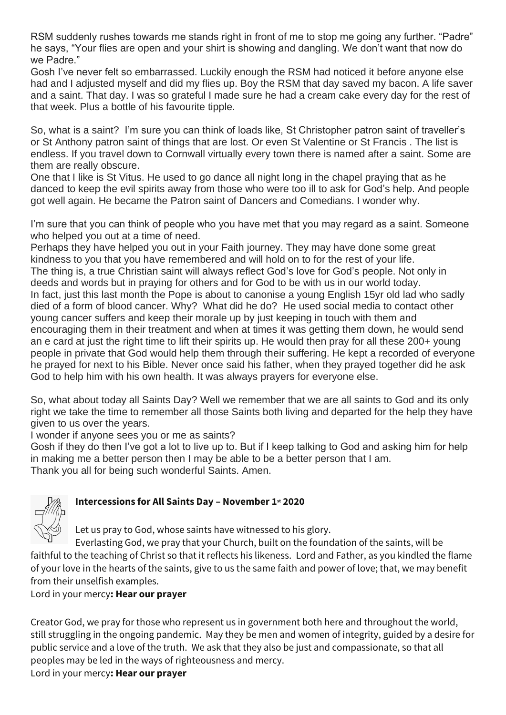RSM suddenly rushes towards me stands right in front of me to stop me going any further. "Padre" he says, "Your flies are open and your shirt is showing and dangling. We don't want that now do we Padre."

Gosh I've never felt so embarrassed. Luckily enough the RSM had noticed it before anyone else had and I adjusted myself and did my flies up. Boy the RSM that day saved my bacon. A life saver and a saint. That day. I was so grateful I made sure he had a cream cake every day for the rest of that week. Plus a bottle of his favourite tipple.

So, what is a saint? I'm sure you can think of loads like, St Christopher patron saint of traveller's or St Anthony patron saint of things that are lost. Or even St Valentine or St Francis . The list is endless. If you travel down to Cornwall virtually every town there is named after a saint. Some are them are really obscure.

One that I like is St Vitus. He used to go dance all night long in the chapel praying that as he danced to keep the evil spirits away from those who were too ill to ask for God's help. And people got well again. He became the Patron saint of Dancers and Comedians. I wonder why.

I'm sure that you can think of people who you have met that you may regard as a saint. Someone who helped you out at a time of need.

Perhaps they have helped you out in your Faith journey. They may have done some great kindness to you that you have remembered and will hold on to for the rest of your life. The thing is, a true Christian saint will always reflect God's love for God's people. Not only in deeds and words but in praying for others and for God to be with us in our world today. In fact, just this last month the Pope is about to canonise a young English 15yr old lad who sadly died of a form of blood cancer. Why? What did he do? He used social media to contact other young cancer suffers and keep their morale up by just keeping in touch with them and encouraging them in their treatment and when at times it was getting them down, he would send an e card at just the right time to lift their spirits up. He would then pray for all these 200+ young people in private that God would help them through their suffering. He kept a recorded of everyone he prayed for next to his Bible. Never once said his father, when they prayed together did he ask God to help him with his own health. It was always prayers for everyone else.

So, what about today all Saints Day? Well we remember that we are all saints to God and its only right we take the time to remember all those Saints both living and departed for the help they have given to us over the years.

I wonder if anyone sees you or me as saints?

Gosh if they do then I've got a lot to live up to. But if I keep talking to God and asking him for help in making me a better person then I may be able to be a better person that I am. Thank you all for being such wonderful Saints. Amen.



# **Intercessions for All Saints Day – November 1st 2020**

Let us pray to God, whose saints have witnessed to his glory.

Everlasting God, we pray that your Church, built on the foundation of the saints, will be faithful to the teaching of Christ so that it reflects his likeness. Lord and Father, as you kindled the flame of your love in the hearts of the saints, give to us the same faith and power of love; that, we may benefit from their unselfish examples.

Lord in your mercy**: Hear our prayer**

Creator God, we pray for those who represent us in government both here and throughout the world, still struggling in the ongoing pandemic. May they be men and women of integrity, guided by a desire for public service and a love of the truth. We ask that they also be just and compassionate, so that all peoples may be led in the ways of righteousness and mercy.

Lord in your mercy**: Hear our prayer**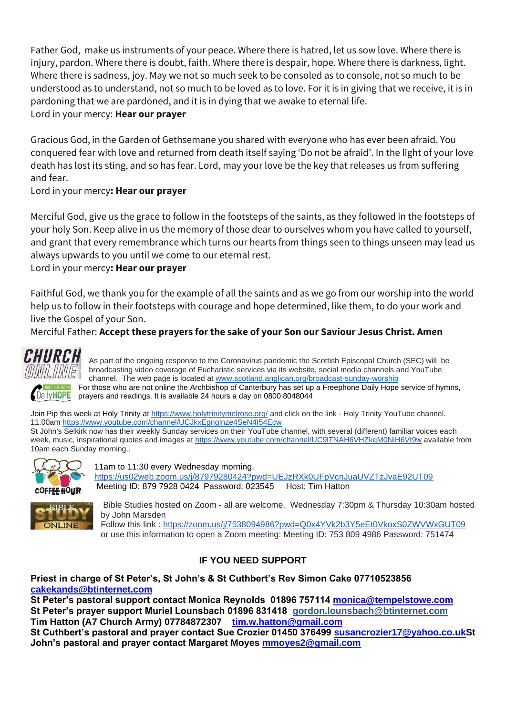Father God, make us instruments of your peace. Where there is hatred, let us sow love. Where there is injury, pardon. Where there is doubt, faith. Where there is despair, hope. Where there is darkness, light. Where there is sadness, joy. May we not so much seek to be consoled as to console, not so much to be understood as to understand, not so much to be loved as to love. For it is in giving that we receive, it is in pardoning that we are pardoned, and it is in dying that we awake to eternal life.

### Lord in your mercy: **Hear our prayer**

Gracious God, in the Garden of Gethsemane you shared with everyone who has ever been afraid. You conquered fear with love and returned from death itself saying 'Do not be afraid'. In the light of your love death has lost its sting, and so has fear. Lord, may your love be the key that releases us from suffering and fear.

Lord in your mercy**: Hear our prayer**

Merciful God, give us the grace to follow in the footsteps of the saints, as they followed in the footsteps of your holy Son. Keep alive in us the memory of those dear to ourselves whom you have called to yourself, and grant that every remembrance which turns our hearts from things seen to things unseen may lead us always upwards to you until we come to our eternal rest.

Lord in your mercy**: Hear our prayer**

Faithful God, we thank you for the example of all the saints and as we go from our worship into the world help us to follow in their footsteps with courage and hope determined, like them, to do your work and live the Gospel of your Son.

Merciful Father: **Accept these prayers for the sake of your Son our Saviour Jesus Christ. Amen**



As part of the ongoing response to the Coronavirus pandemic the Scottish Episcopal Church (SEC) will be broadcasting video coverage of Eucharistic services via its website, social media channels and YouTube channel. The web page is located at [www.scotland.anglican.org/broadcast-sunday-worship](http://www.scotland.anglican.org/broadcast-sunday-worship) **BRODED4-8044** For those who are not online the Archbishop of Canterbury has set up a Freephone Daily Hope service of hymns, DailyHOPE prayers and readings. It is available 24 hours a day on 0800 8048044

Join Pip this week at Holy Trinity at<https://www.holytrinitymelrose.org/> and click on the link - Holy Trinity YouTube channel. 11.00a[m https://www.youtube.com/channel/UCJkxEgnglnze4SeN4I54Ecw](https://www.youtube.com/channel/UCJkxEgnglnze4SeN4I54Ecw)  St John's Selkirk now has their weekly Sunday services on their YouTube channel, with several (different) familiar voices each week, music, inspirational quotes and images at <https://www.youtube.com/channel/UC9lTNAH6VHZkqM0NiH6Vt9w> available from 10am each Sunday morning..



11am to 11:30 every Wednesday morning. <https://us02web.zoom.us/j/87979280424?pwd=UEJzRXk0UFpVcnJuaUVZTzJvaE92UT09> Meeting ID: 879 7928 0424 Password: 023545 Host: Tim Hatton



Bible Studies hosted on Zoom - all are welcome. Wednesday 7:30pm & Thursday 10:30am hosted by John Marsden Follow this link : <https://zoom.us/j/7538094986?pwd=Q0x4YVk2b3Y5eEt0VkoxS0ZWVWxGUT09>

or use this information to open a Zoom meeting: Meeting ID: 753 809 4986 Password: 751474

## **IF YOU NEED SUPPORT**

**Priest in charge of St Peter's, St John's & St Cuthbert's Rev Simon Cake 07710523856 [cakekands@btinternet.com](mailto:cakekands@btinternet.com)**

**St Peter's pastoral support contact Monica Reynolds 01896 757114 [monica@tempelstowe.com](mailto:monica@tempelstowe.com) St Peter's prayer support Muriel Lounsbach 01896 831418 gordon.lounsbach@btinternet.com Tim Hatton (A7 Church Army) 07784872307 [tim.w.hatton@gmail.com](mailto:tim.w.hutton@gmail.com)**

**St Cuthbert's pastoral and prayer contact Sue Crozier 01450 376499 [susancrozier17@yahoo.co.ukS](mailto:susancrozier17@yahoo.co.uk)t John's pastoral and prayer contact Margaret Moyes [mmoyes2@gmail.com](mailto:mmoyes2@gmail.com)**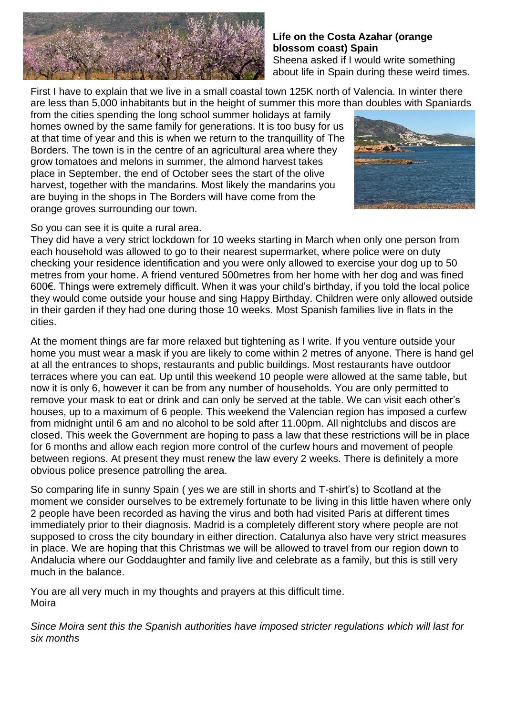

### **Life on the Costa Azahar (orange blossom coast) Spain** Sheena asked if I would write something

about life in Spain during these weird times.

First I have to explain that we live in a small coastal town 125K north of Valencia. In winter there are less than 5,000 inhabitants but in the height of summer this more than doubles with Spaniards

from the cities spending the long school summer holidays at family homes owned by the same family for generations. It is too busy for us at that time of year and this is when we return to the tranquillity of The Borders. The town is in the centre of an agricultural area where they grow tomatoes and melons in summer, the almond harvest takes place in September, the end of October sees the start of the olive harvest, together with the mandarins. Most likely the mandarins you are buying in the shops in The Borders will have come from the orange groves surrounding our town.



### So you can see it is quite a rural area.

They did have a very strict lockdown for 10 weeks starting in March when only one person from each household was allowed to go to their nearest supermarket, where police were on duty checking your residence identification and you were only allowed to exercise your dog up to 50 metres from your home. A friend ventured 500metres from her home with her dog and was fined 600€. Things were extremely difficult. When it was your child's birthday, if you told the local police they would come outside your house and sing Happy Birthday. Children were only allowed outside in their garden if they had one during those 10 weeks. Most Spanish families live in flats in the cities.

At the moment things are far more relaxed but tightening as I write. If you venture outside your home you must wear a mask if you are likely to come within 2 metres of anyone. There is hand gel at all the entrances to shops, restaurants and public buildings. Most restaurants have outdoor terraces where you can eat. Up until this weekend 10 people were allowed at the same table, but now it is only 6, however it can be from any number of households. You are only permitted to remove your mask to eat or drink and can only be served at the table. We can visit each other's houses, up to a maximum of 6 people. This weekend the Valencian region has imposed a curfew from midnight until 6 am and no alcohol to be sold after 11.00pm. All nightclubs and discos are closed. This week the Government are hoping to pass a law that these restrictions will be in place for 6 months and allow each region more control of the curfew hours and movement of people between regions. At present they must renew the law every 2 weeks. There is definitely a more obvious police presence patrolling the area.

So comparing life in sunny Spain ( yes we are still in shorts and T-shirt's) to Scotland at the moment we consider ourselves to be extremely fortunate to be living in this little haven where only 2 people have been recorded as having the virus and both had visited Paris at different times immediately prior to their diagnosis. Madrid is a completely different story where people are not supposed to cross the city boundary in either direction. Catalunya also have very strict measures in place. We are hoping that this Christmas we will be allowed to travel from our region down to Andalucia where our Goddaughter and family live and celebrate as a family, but this is still very much in the balance.

You are all very much in my thoughts and prayers at this difficult time. Moira

*Since Moira sent this the Spanish authorities have imposed stricter regulations which will last for [six months](https://l.facebook.com/l.php?u=https%3A%2F%2Fwww.strava.com%2Factivities%2F4115144364%3Ffbclid%3DIwAR2dp0V7bZw56KZNe7vvvP6qvLImkA5BNccKKFT60WPFMxOmexhBDMqE1hk&h=AT06T4e_7h6ZApB1oGWjk7pLBQ-K3FrXkDzPu-3dIUW9Yq2uWgVHvA1iH9D2G0qHAEzsVf6iZSPLYjt6IIPAEnVxcjXeHb_PKNtCimTKWYec9eSyBG-fhPgCt_GQiLPKta1r&__tn__=H-R&c%5b0%5d=AT0geC5tx4HBtnuUp3gCeEzYdFpe7hKghWt3IPt71OMD54KpTLRZ2BoA0MuMeWwHlfudxO2cBtPJ9so98nMDTcbxTJGAgh-8HbIfpS2DmXnwskBFa3Rkq0KNMefG4EVpFLNqSFOwfcU5q9TBFeRBz7HaUNslyrmv_jq4-z_aqyrBursxAXDT8wGoXyLBHCyTB8npD5HEm393dr1yc9xU8_Tzaw)*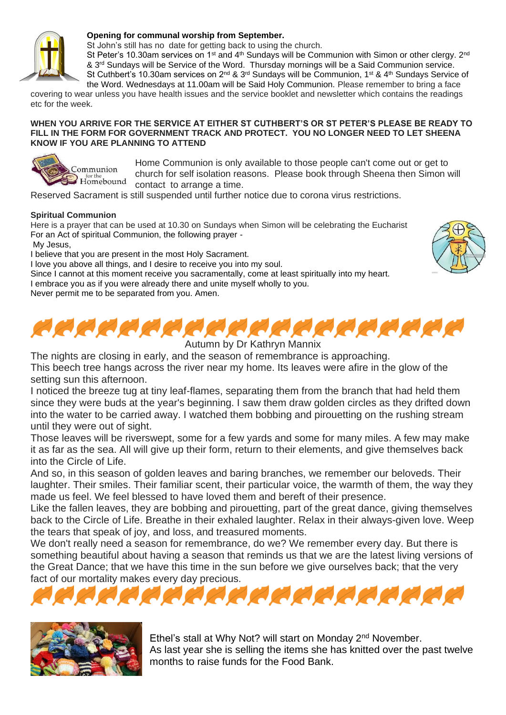

#### **Opening for communal worship from September.**

St John's still has no date for getting back to using the church.

St Peter's 10.30am services on 1<sup>st</sup> and 4<sup>th</sup> Sundays will be Communion with Simon or other clergy.  $2^{nd}$ & 3rd Sundays will be Service of the Word. Thursday mornings will be a Said Communion service. St Cuthbert's 10.30am services on 2<sup>nd</sup> & 3<sup>rd</sup> Sundays will be Communion, 1<sup>st</sup> & 4<sup>th</sup> Sundays Service of the Word. Wednesdays at 11.00am will be Said Holy Communion. Please remember to bring a face

covering to wear unless you have health issues and the service booklet and newsletter which contains the readings etc for the week.

#### **WHEN YOU ARRIVE FOR THE SERVICE AT EITHER ST CUTHBERT'S OR ST PETER'S PLEASE BE READY TO FILL IN THE FORM FOR GOVERNMENT TRACK AND PROTECT. YOU NO LONGER NEED TO LET SHEENA KNOW IF YOU ARE PLANNING TO ATTEND**



Home Communion is only available to those people can't come out or get to church for self isolation reasons. Please book through Sheena then Simon will contact to arrange a time.

Reserved Sacrament is still suspended until further notice due to corona virus restrictions.

#### **Spiritual Communion**

Here is a prayer that can be used at 10.30 on Sundays when Simon will be celebrating the Eucharist For an Act of spiritual Communion, the following prayer -

My Jesus,

I believe that you are present in the most Holy Sacrament.

I love you above all things, and I desire to receive you into my soul.

Since I cannot at this moment receive you sacramentally, come at least spiritually into my heart.

I embrace you as if you were already there and unite myself wholly to you.

Never permit me to be separated from you. Amen.



Autumn by Dr Kathryn Mannix

The nights are closing in early, and the season of remembrance is approaching.

This beech tree hangs across the river near my home. Its leaves were afire in the glow of the setting sun this afternoon.

I noticed the breeze tug at tiny leaf-flames, separating them from the branch that had held them since they were buds at the year's beginning. I saw them draw golden circles as they drifted down into the water to be carried away. I watched them bobbing and pirouetting on the rushing stream until they were out of sight.

Those leaves will be riverswept, some for a few yards and some for many miles. A few may make it as far as the sea. All will give up their form, return to their elements, and give themselves back into the Circle of Life.

And so, in this season of golden leaves and baring branches, we remember our beloveds. Their laughter. Their smiles. Their familiar scent, their particular voice, the warmth of them, the way they made us feel. We feel blessed to have loved them and bereft of their presence.

Like the fallen leaves, they are bobbing and pirouetting, part of the great dance, giving themselves back to the Circle of Life. Breathe in their exhaled laughter. Relax in their always-given love. Weep the tears that speak of joy, and loss, and treasured moments.

We don't really need a season for remembrance, do we? We remember every day. But there is something beautiful about having a season that reminds us that we are the latest living versions of the Great Dance; that we have this time in the sun before we give ourselves back; that the very fact of our mortality makes every day precious.





Ethel's stall at Why Not? will start on Monday 2<sup>nd</sup> November. As last year she is selling the items she has knitted over the past twelve months to raise funds for the Food Bank.